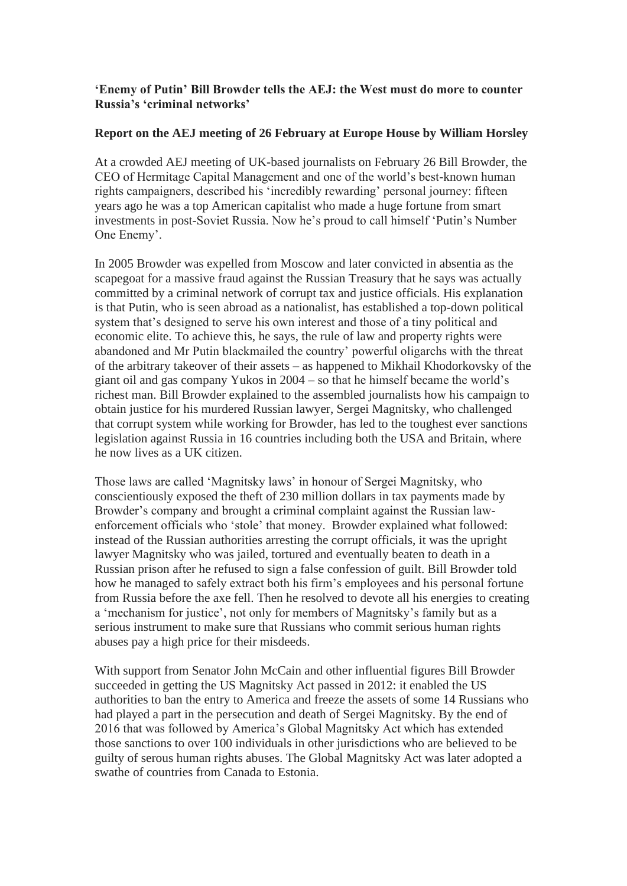## **'Enemy of Putin' Bill Browder tells the AEJ: the West must do more to counter Russia's 'criminal networks'**

## **Report on the AEJ meeting of 26 February at Europe House by William Horsley**

At a crowded AEJ meeting of UK-based journalists on February 26 Bill Browder, the CEO of Hermitage Capital Management and one of the world's best-known human rights campaigners, described his 'incredibly rewarding' personal journey: fifteen years ago he was a top American capitalist who made a huge fortune from smart investments in post-Soviet Russia. Now he's proud to call himself 'Putin's Number One Enemy'.

In 2005 Browder was expelled from Moscow and later convicted in absentia as the scapegoat for a massive fraud against the Russian Treasury that he says was actually committed by a criminal network of corrupt tax and justice officials. His explanation is that Putin, who is seen abroad as a nationalist, has established a top-down political system that's designed to serve his own interest and those of a tiny political and economic elite. To achieve this, he says, the rule of law and property rights were abandoned and Mr Putin blackmailed the country' powerful oligarchs with the threat of the arbitrary takeover of their assets – as happened to Mikhail Khodorkovsky of the giant oil and gas company Yukos in 2004 – so that he himself became the world's richest man. Bill Browder explained to the assembled journalists how his campaign to obtain justice for his murdered Russian lawyer, Sergei Magnitsky, who challenged that corrupt system while working for Browder, has led to the toughest ever sanctions legislation against Russia in 16 countries including both the USA and Britain, where he now lives as a UK citizen.

Those laws are called 'Magnitsky laws' in honour of Sergei Magnitsky, who conscientiously exposed the theft of 230 million dollars in tax payments made by Browder's company and brought a criminal complaint against the Russian lawenforcement officials who 'stole' that money. Browder explained what followed: instead of the Russian authorities arresting the corrupt officials, it was the upright lawyer Magnitsky who was jailed, tortured and eventually beaten to death in a Russian prison after he refused to sign a false confession of guilt. Bill Browder told how he managed to safely extract both his firm's employees and his personal fortune from Russia before the axe fell. Then he resolved to devote all his energies to creating a 'mechanism for justice', not only for members of Magnitsky's family but as a serious instrument to make sure that Russians who commit serious human rights abuses pay a high price for their misdeeds.

With support from Senator John McCain and other influential figures Bill Browder succeeded in getting the US Magnitsky Act passed in 2012: it enabled the US authorities to ban the entry to America and freeze the assets of some 14 Russians who had played a part in the persecution and death of Sergei Magnitsky. By the end of 2016 that was followed by America's Global Magnitsky Act which has extended those sanctions to over 100 individuals in other jurisdictions who are believed to be guilty of serous human rights abuses. The Global Magnitsky Act was later adopted a swathe of countries from Canada to Estonia.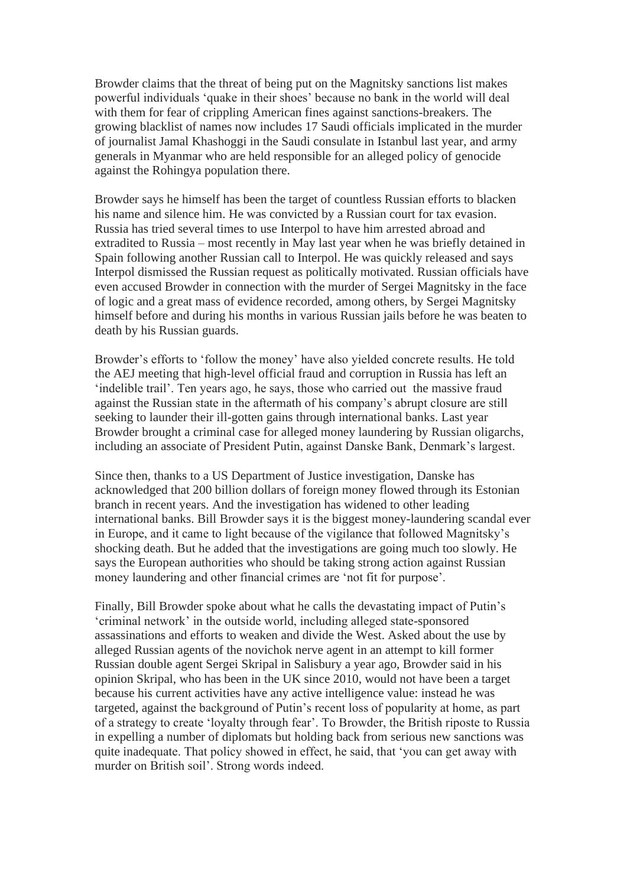Browder claims that the threat of being put on the Magnitsky sanctions list makes powerful individuals 'quake in their shoes' because no bank in the world will deal with them for fear of crippling American fines against sanctions-breakers. The growing blacklist of names now includes 17 Saudi officials implicated in the murder of journalist Jamal Khashoggi in the Saudi consulate in Istanbul last year, and army generals in Myanmar who are held responsible for an alleged policy of genocide against the Rohingya population there.

Browder says he himself has been the target of countless Russian efforts to blacken his name and silence him. He was convicted by a Russian court for tax evasion. Russia has tried several times to use Interpol to have him arrested abroad and extradited to Russia – most recently in May last year when he was briefly detained in Spain following another Russian call to Interpol. He was quickly released and says Interpol dismissed the Russian request as politically motivated. Russian officials have even accused Browder in connection with the murder of Sergei Magnitsky in the face of logic and a great mass of evidence recorded, among others, by Sergei Magnitsky himself before and during his months in various Russian jails before he was beaten to death by his Russian guards.

Browder's efforts to 'follow the money' have also yielded concrete results. He told the AEJ meeting that high-level official fraud and corruption in Russia has left an 'indelible trail'. Ten years ago, he says, those who carried out the massive fraud against the Russian state in the aftermath of his company's abrupt closure are still seeking to launder their ill-gotten gains through international banks. Last year Browder brought a criminal case for alleged money laundering by Russian oligarchs, including an associate of President Putin, against Danske Bank, Denmark's largest.

Since then, thanks to a US Department of Justice investigation, Danske has acknowledged that 200 billion dollars of foreign money flowed through its Estonian branch in recent years. And the investigation has widened to other leading international banks. Bill Browder says it is the biggest money-laundering scandal ever in Europe, and it came to light because of the vigilance that followed Magnitsky's shocking death. But he added that the investigations are going much too slowly. He says the European authorities who should be taking strong action against Russian money laundering and other financial crimes are 'not fit for purpose'.

Finally, Bill Browder spoke about what he calls the devastating impact of Putin's 'criminal network' in the outside world, including alleged state-sponsored assassinations and efforts to weaken and divide the West. Asked about the use by alleged Russian agents of the novichok nerve agent in an attempt to kill former Russian double agent Sergei Skripal in Salisbury a year ago, Browder said in his opinion Skripal, who has been in the UK since 2010, would not have been a target because his current activities have any active intelligence value: instead he was targeted, against the background of Putin's recent loss of popularity at home, as part of a strategy to create 'loyalty through fear'. To Browder, the British riposte to Russia in expelling a number of diplomats but holding back from serious new sanctions was quite inadequate. That policy showed in effect, he said, that 'you can get away with murder on British soil'. Strong words indeed.